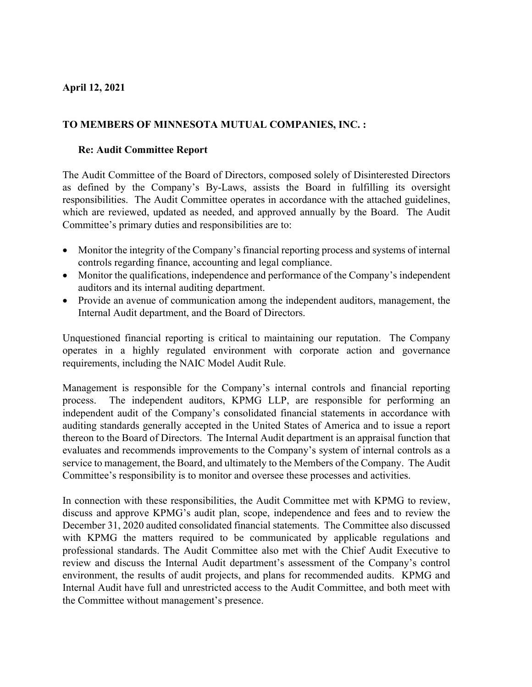## **April 12, 2021**

## **TO MEMBERS OF MINNESOTA MUTUAL COMPANIES, INC. :**

## **Re: Audit Committee Report**

The Audit Committee of the Board of Directors, composed solely of Disinterested Directors as defined by the Company's By-Laws, assists the Board in fulfilling its oversight responsibilities. The Audit Committee operates in accordance with the attached guidelines, which are reviewed, updated as needed, and approved annually by the Board. The Audit Committee's primary duties and responsibilities are to:

- Monitor the integrity of the Company's financial reporting process and systems of internal controls regarding finance, accounting and legal compliance.
- Monitor the qualifications, independence and performance of the Company's independent auditors and its internal auditing department.
- Provide an avenue of communication among the independent auditors, management, the Internal Audit department, and the Board of Directors.

Unquestioned financial reporting is critical to maintaining our reputation. The Company operates in a highly regulated environment with corporate action and governance requirements, including the NAIC Model Audit Rule.

Management is responsible for the Company's internal controls and financial reporting process. The independent auditors, KPMG LLP, are responsible for performing an independent audit of the Company's consolidated financial statements in accordance with auditing standards generally accepted in the United States of America and to issue a report thereon to the Board of Directors. The Internal Audit department is an appraisal function that evaluates and recommends improvements to the Company's system of internal controls as a service to management, the Board, and ultimately to the Members of the Company. The Audit Committee's responsibility is to monitor and oversee these processes and activities.

In connection with these responsibilities, the Audit Committee met with KPMG to review, discuss and approve KPMG's audit plan, scope, independence and fees and to review the December 31, 2020 audited consolidated financial statements. The Committee also discussed with KPMG the matters required to be communicated by applicable regulations and professional standards. The Audit Committee also met with the Chief Audit Executive to review and discuss the Internal Audit department's assessment of the Company's control environment, the results of audit projects, and plans for recommended audits. KPMG and Internal Audit have full and unrestricted access to the Audit Committee, and both meet with the Committee without management's presence.